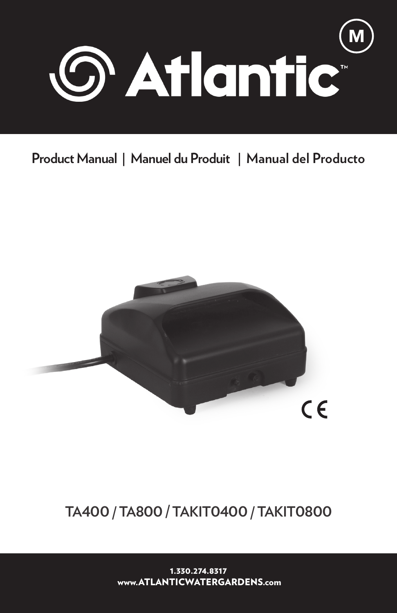

# **Product Manual | Manuel du Produit | Manual del Producto**



# **TA400 / TA800 / TAKIT0400 / TAKIT0800**

1.330.274.8317 www.ATLANTICWATERGARDENS.com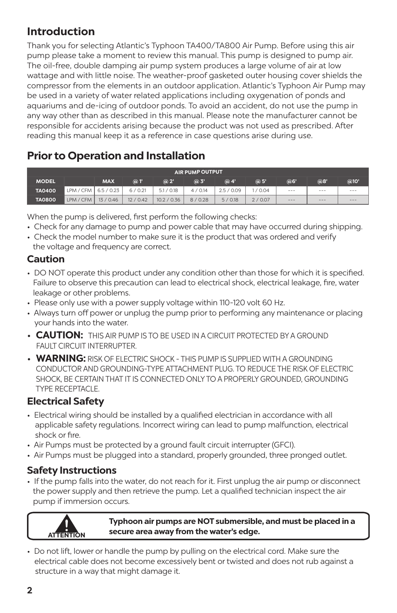### **Introduction**

Thank you for selecting Atlantic's Typhoon TA400/TA800 Air Pump. Before using this air pump please take a moment to review this manual. This pump is designed to pump air. The oil-free, double damping air pump system produces a large volume of air at low wattage and with little noise. The weather-proof gasketed outer housing cover shields the compressor from the elements in an outdoor application. Atlantic's Typhoon Air Pump may be used in a variety of water related applications including oxygenation of ponds and aquariums and de-icing of outdoor ponds. To avoid an accident, do not use the pump in any way other than as described in this manual. Please note the manufacturer cannot be responsible for accidents arising because the product was not used as prescribed. After reading this manual keep it as a reference in case questions arise during use.

## **Prior to Operation and Installation**

| <b>AIR PUMP OUTPUT</b> |           |            |           |             |                |             |        |     |     |      |
|------------------------|-----------|------------|-----------|-------------|----------------|-------------|--------|-----|-----|------|
| <b>MODEL</b>           |           | <b>MAX</b> | $\odot$ T | @2'         | @ 3'           | @4'         | @5     | @6' | @8' | @10' |
| <b>TA0400</b>          | LPM / CFM | 6.5 / 0.23 | 6/0.21    | 5.1 / 0.18  | $'$ 0.14<br>4/ | 2.5<br>0.09 | /0.04  | --- | --- | ---  |
| <b>TA0800</b>          | LPM / CFM | 13/0.46    | 12/0.42   | 10.2 / 0.36 | 8/0.28         | 5/0.18      | 2/0.07 | --- | --- | ---  |

When the pump is delivered, first perform the following checks:

- Check for any damage to pump and power cable that may have occurred during shipping.
- Check the model number to make sure it is the product that was ordered and verify the voltage and frequency are correct.

#### **Caution**

- DO NOT operate this product under any condition other than those for which it is specified. Failure to observe this precaution can lead to electrical shock, electrical leakage, fire, water leakage or other problems.
- Please only use with a power supply voltage within 110-120 volt 60 Hz.
- Always turn off power or unplug the pump prior to performing any maintenance or placing your hands into the water.
- **CAUTION:** THIS AIR PUMP IS TO BE USED IN A CIRCUIT PROTECTED BY A GROUND FAULT CIRCUIT INTERRUPTER
- **WARNING:** RISK OF ELECTRIC SHOCK THIS PUMP IS SUPPLIED WITH A GROUNDING CONDUCTOR AND GROUNDING-TYPE ATTACHMENT PLUG. TO REDUCE THE RISK OF ELECTRIC SHOCK, BE CERTAIN THAT IT IS CONNECTED ONLY TO A PROPERLY GROUNDED, GROUNDING TYPE RECEPTACLE.

#### **Electrical Safety**

- Electrical wiring should be installed by a qualified electrician in accordance with all applicable safety regulations. Incorrect wiring can lead to pump malfunction, electrical shock or fire.
- Air Pumps must be protected by a ground fault circuit interrupter (GFCI).
- Air Pumps must be plugged into a standard, properly grounded, three pronged outlet.

#### **Safety Instructions**

• If the pump falls into the water, do not reach for it. First unplug the air pump or disconnect the power supply and then retrieve the pump. Let a qualified technician inspect the air pump if immersion occurs.



#### **Typhoon air pumps are NOT submersible, and must be placed in a secure area away from the water's edge.**

• Do not lift, lower or handle the pump by pulling on the electrical cord. Make sure the electrical cable does not become excessively bent or twisted and does not rub against a structure in a way that might damage it.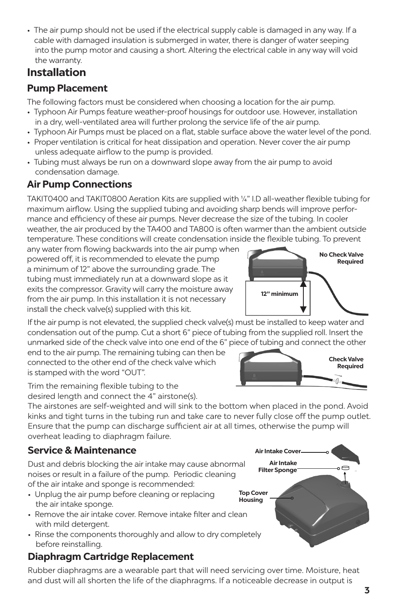• The air pump should not be used if the electrical supply cable is damaged in any way. If a cable with damaged insulation is submerged in water, there is danger of water seeping into the pump motor and causing a short. Altering the electrical cable in any way will void the warranty.

### **Installation**

### **Pump Placement**

The following factors must be considered when choosing a location for the air pump.

- Typhoon Air Pumps feature weather-proof housings for outdoor use. However, installation in a dry, well-ventilated area will further prolong the service life of the air pump.
- Typhoon Air Pumps must be placed on a flat, stable surface above the water level of the pond.
- Proper ventilation is critical for heat dissipation and operation. Never cover the air pump unless adequate airflow to the pump is provided.
- Tubing must always be run on a downward slope away from the air pump to avoid condensation damage.

### **Air Pump Connections**

TAKIT0400 and TAKIT0800 Aeration Kits are supplied with ¼" I.D all-weather flexible tubing for maximum airflow. Using the supplied tubing and avoiding sharp bends will improve performance and efficiency of these air pumps. Never decrease the size of the tubing. In cooler weather, the air produced by the TA400 and TA800 is often warmer than the ambient outside temperature. These conditions will create condensation inside the flexible tubing. To prevent

any water from flowing backwards into the air pump when powered off, it is recommended to elevate the pump a minimum of 12" above the surrounding grade. The tubing must immediately run at a downward slope as it exits the compressor. Gravity will carry the moisture away from the air pump. In this installation it is not necessary install the check valve(s) supplied with this kit.

If the air pump is not elevated, the supplied check valve(s) must be installed to keep water and condensation out of the pump. Cut a short 6" piece of tubing from the supplied roll. Insert the unmarked side of the check valve into one end of the 6" piece of tubing and connect the other

end to the air pump. The remaining tubing can then be connected to the other end of the check valve which is stamped with the word "OUT".

Trim the remaining flexible tubing to the desired length and connect the 4" airstone(s).

The airstones are self-weighted and will sink to the bottom when placed in the pond. Avoid kinks and tight turns in the tubing run and take care to never fully close off the pump outlet. Ensure that the pump can discharge sufficient air at all times, otherwise the pump will overheat leading to diaphragm failure.

#### **Service & Maintenance**

Dust and debris blocking the air intake may cause abnormal noises or result in a failure of the pump. Periodic cleaning of the air intake and sponge is recommended:

- Unplug the air pump before cleaning or replacing the air intake sponge.
- Remove the air intake cover. Remove intake filter and clean with mild detergent.
- Rinse the components thoroughly and allow to dry completely before reinstalling.

### **Diaphragm Cartridge Replacement**

Rubber diaphragms are a wearable part that will need servicing over time. Moisture, heat and dust will all shorten the life of the diaphragms. If a noticeable decrease in output is





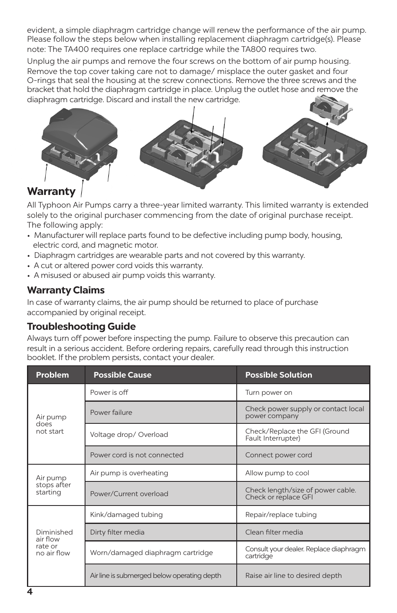evident, a simple diaphragm cartridge change will renew the performance of the air pump. Please follow the steps below when installing replacement diaphragm cartridge(s). Please note: The TA400 requires one replace cartridge while the TA800 requires two.

Unplug the air pumps and remove the four screws on the bottom of air pump housing. Remove the top cover taking care not to damage/ misplace the outer gasket and four O-rings that seal the housing at the screw connections. Remove the three screws and the bracket that hold the diaphragm cartridge in place. Unplug the outlet hose and remove the diaphragm cartridge. Discard and install the new cartridge.



### **Warranty**

All Typhoon Air Pumps carry a three-year limited warranty. This limited warranty is extended solely to the original purchaser commencing from the date of original purchase receipt. The following apply:

- Manufacturer will replace parts found to be defective including pump body, housing, electric cord, and magnetic motor.
- Diaphragm cartridges are wearable parts and not covered by this warranty.
- A cut or altered power cord voids this warranty.
- A misused or abused air pump voids this warranty.

#### **Warranty Claims**

In case of warranty claims, the air pump should be returned to place of purchase accompanied by original receipt.

#### **Troubleshooting Guide**

Always turn off power before inspecting the pump. Failure to observe this precaution can result in a serious accident. Before ordering repairs, carefully read through this instruction booklet. If the problem persists, contact your dealer.

| Problem                 | <b>Possible Cause</b>                       | <b>Possible Solution</b>                                  |  |  |  |
|-------------------------|---------------------------------------------|-----------------------------------------------------------|--|--|--|
|                         | Power is off                                | Turn power on                                             |  |  |  |
| Air pump                | Power failure                               | Check power supply or contact local<br>power company      |  |  |  |
| does<br>not start       | Voltage drop/Overload                       | Check/Replace the GFI (Ground<br>Fault Interrupter)       |  |  |  |
|                         | Power cord is not connected                 | Connect power cord                                        |  |  |  |
| Air pump                | Air pump is overheating                     | Allow pump to cool                                        |  |  |  |
| stops after<br>starting | Power/Current overload                      | Check length/size of power cable.<br>Check or replace GFI |  |  |  |
|                         | Kink/damaged tubing                         | Repair/replace tubing                                     |  |  |  |
| Diminished<br>air flow  | Dirty filter media                          | Clean filter media                                        |  |  |  |
| rate or<br>no air flow  | Worn/damaged diaphragm cartridge            | Consult your dealer. Replace diaphragm<br>cartridge       |  |  |  |
|                         | Air line is submerged below operating depth | Raise air line to desired depth                           |  |  |  |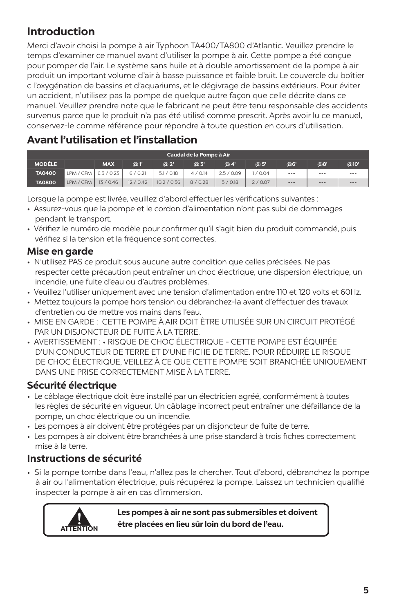## **Introduction**

Merci d'avoir choisi la pompe à air Typhoon TA400/TA800 d'Atlantic. Veuillez prendre le temps d'examiner ce manuel avant d'utiliser la pompe à air. Cette pompe a été conçue pour pomper de l'air. Le système sans huile et à double amortissement de la pompe à air produit un important volume d'air à basse puissance et faible bruit. Le couvercle du boîtier c l'oxygénation de bassins et d'aquariums, et le dégivrage de bassins extérieurs. Pour éviter un accident, n'utilisez pas la pompe de quelque autre façon que celle décrite dans ce manuel. Veuillez prendre note que le fabricant ne peut être tenu responsable des accidents survenus parce que le produit n'a pas été utilisé comme prescrit. Après avoir lu ce manuel, conservez-le comme référence pour répondre à toute question en cours d'utilisation.

# **Avant l'utilisation et l'installation**

| Caudal de la Pompe à Air |           |            |           |             |             |            |        |          |     |      |
|--------------------------|-----------|------------|-----------|-------------|-------------|------------|--------|----------|-----|------|
| <b>MODÉLE</b>            |           | <b>MAX</b> | $\odot$ T | $\omega$ 2' | $\omega$ 3' | @4'        | @5'    | @6'      | @8' | @10' |
| <b>TA0400</b>            | LPM / CFM | 6.5 / 0.23 | 6/0.21    | 5.1 / 0.18  | 4/0.14      | 2.5 / 0.09 | /0.04  | $\cdots$ | --- | ---  |
| <b>TA0800</b>            | LPM / CFM | 13/0.46    | 12/0.42   | 10.2 / 0.36 | 8/0.28      | 5/0.18     | 2/0.07 | $- - -$  | --- | ---  |

Lorsque la pompe est livrée, veuillez d'abord effectuer les vérifications suivantes :

- Assurez-vous que la pompe et le cordon d'alimentation n'ont pas subi de dommages pendant le transport.
- Vérifiez le numéro de modèle pour confirmer qu'il s'agit bien du produit commandé, puis vérifiez si la tension et la fréquence sont correctes.

#### **Mise en garde**

- N'utilisez PAS ce produit sous aucune autre condition que celles précisées. Ne pas respecter cette précaution peut entraîner un choc électrique, une dispersion électrique, un incendie, une fuite d'eau ou d'autres problèmes.
- Veuillez l'utiliser uniquement avec une tension d'alimentation entre 110 et 120 volts et 60Hz.
- Mettez toujours la pompe hors tension ou débranchez-la avant d'effectuer des travaux d'entretien ou de mettre vos mains dans l'eau.
- MISE EN GARDE : CETTE POMPE À AIR DOIT ÊTRE UTILISÉE SUR UN CIRCUIT PROTÉGÉ PAR UN DISJONCTEUR DE FUITE À LA TERRE.
- AVERTISSEMENT : RISQUE DE CHOC ÉLECTRIQUE CETTE POMPE EST ÉQUIPÉE D'UN CONDUCTEUR DE TERRE ET D'UNE FICHE DE TERRE. POUR RÉDUIRE LE RISQUE DE CHOC ÉLECTRIQUE, VEILLEZ À CE QUE CETTE POMPE SOIT BRANCHÉE UNIQUEMENT DANS UNE PRISE CORRECTEMENT MISE À LA TERRE.

#### **Sécurité électrique**

- Le câblage électrique doit être installé par un électricien agréé, conformément à toutes les règles de sécurité en vigueur. Un câblage incorrect peut entraîner une défaillance de la pompe, un choc électrique ou un incendie.
- Les pompes à air doivent être protégées par un disjoncteur de fuite de terre.
- Les pompes à air doivent être branchées à une prise standard à trois fiches correctement mise à la terre.

#### **Instructions de sécurité**

• Si la pompe tombe dans l'eau, n'allez pas la chercher. Tout d'abord, débranchez la pompe à air ou l'alimentation électrique, puis récupérez la pompe. Laissez un technicien qualifié inspecter la pompe à air en cas d'immersion.



**Les pompes à air ne sont pas submersibles et doivent être placées en lieu sûr loin du bord de l'eau.**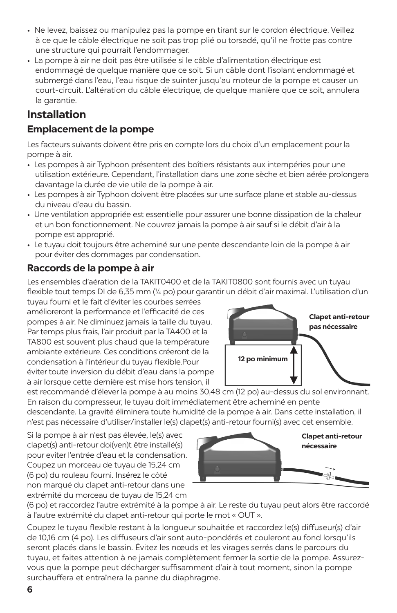- Ne levez, baissez ou manipulez pas la pompe en tirant sur le cordon électrique. Veillez à ce que le câble électrique ne soit pas trop plié ou torsadé, qu'il ne frotte pas contre une structure qui pourrait l'endommager.
- La pompe à air ne doit pas être utilisée si le câble d'alimentation électrique est endommagé de quelque manière que ce soit. Si un câble dont l'isolant endommagé et submergé dans l'eau, l'eau risque de suinter jusqu'au moteur de la pompe et causer un court-circuit. L'altération du câble électrique, de quelque manière que ce soit, annulera la garantie.

### **Installation**

### **Emplacement de la pompe**

Les facteurs suivants doivent être pris en compte lors du choix d'un emplacement pour la pompe à air.

- Les pompes à air Typhoon présentent des boîtiers résistants aux intempéries pour une utilisation extérieure. Cependant, l'installation dans une zone sèche et bien aérée prolongera davantage la durée de vie utile de la pompe à air.
- Les pompes à air Typhoon doivent être placées sur une surface plane et stable au-dessus du niveau d'eau du bassin.
- Une ventilation appropriée est essentielle pour assurer une bonne dissipation de la chaleur et un bon fonctionnement. Ne couvrez jamais la pompe à air sauf si le débit d'air à la pompe est approprié.
- Le tuyau doit toujours être acheminé sur une pente descendante loin de la pompe à air pour éviter des dommages par condensation.

#### **Raccords de la pompe à air**

Les ensembles d'aération de la TAKIT0400 et de la TAKIT0800 sont fournis avec un tuyau flexible tout temps DI de 6,35 mm (¼ po) pour garantir un débit d'air maximal. L'utilisation d'un

tuyau fourni et le fait d'éviter les courbes serrées amélioreront la performance et l'efficacité de ces pompes à air. Ne diminuez jamais la taille du tuyau. Par temps plus frais, l'air produit par la TA400 et la TA800 est souvent plus chaud que la température ambiante extérieure. Ces conditions créeront de la condensation à l'intérieur du tuyau flexible.Pour éviter toute inversion du débit d'eau dans la pompe à air lorsque cette dernière est mise hors tension, il



est recommandé d'élever la pompe à au moins 30,48 cm (12 po) au-dessus du sol environnant. En raison du compresseur, le tuyau doit immédiatement être acheminé en pente descendante. La gravité éliminera toute humidité de la pompe à air. Dans cette installation, il n'est pas nécessaire d'utiliser/installer le(s) clapet(s) anti-retour fourni(s) avec cet ensemble.

Si la pompe à air n'est pas élevée, le(s) avec clapet(s) anti-retour doi(ven)t être installé(s) pour eviter l'entrée d'eau et la condensation. Coupez un morceau de tuyau de 15,24 cm (6 po) du rouleau fourni. Insérez le côté non marqué du clapet anti-retour dans une extrémité du morceau de tuyau de 15,24 cm



(6 po) et raccordez l'autre extrémité à la pompe à air. Le reste du tuyau peut alors être raccordé à l'autre extrémité du clapet anti-retour qui porte le mot « OUT ».

Coupez le tuyau flexible restant à la longueur souhaitée et raccordez le(s) diffuseur(s) d'air de 10,16 cm (4 po). Les diffuseurs d'air sont auto-pondérés et couleront au fond lorsqu'ils seront placés dans le bassin. Évitez les nœuds et les virages serrés dans le parcours du tuyau, et faites attention à ne jamais complètement fermer la sortie de la pompe. Assurezvous que la pompe peut décharger suffisamment d'air à tout moment, sinon la pompe surchauffera et entraînera la panne du diaphragme.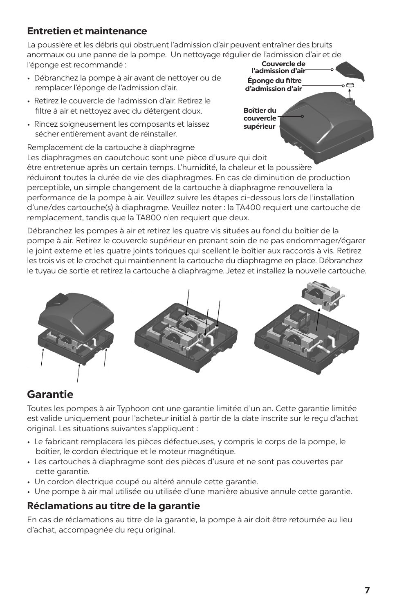#### **Entretien et maintenance**

**Couvercle de**  La poussière et les débris qui obstruent l'admission d'air peuvent entraîner des bruits anormaux ou une panne de la pompe. Un nettoyage régulier de l'admission d'air et de l'éponge est recommandé :

- Débranchez la pompe à air avant de nettoyer ou de remplacer l'éponge de l'admission d'air.
- Retirez le couvercle de l'admission d'air. Retirez le filtre à air et nettoyez avec du détergent doux.
- Rincez soigneusement les composants et laissez sécher entièrement avant de réinstaller.

Remplacement de la cartouche à diaphragme Les diaphragmes en caoutchouc sont une pièce d'usure qui doit être entretenue après un certain temps. L'humidité, la chaleur et la poussière réduiront toutes la durée de vie des diaphragmes. En cas de diminution de production perceptible, un simple changement de la cartouche à diaphragme renouvellera la performance de la pompe à air. Veuillez suivre les étapes ci-dessous lors de l'installation d'une/des cartouche(s) à diaphragme. Veuillez noter : la TA400 requiert une cartouche de remplacement, tandis que la TA800 n'en requiert que deux.

Débranchez les pompes à air et retirez les quatre vis situées au fond du boîtier de la pompe à air. Retirez le couvercle supérieur en prenant soin de ne pas endommager/égarer le joint externe et les quatre joints toriques qui scellent le boîtier aux raccords à vis. Retirez les trois vis et le crochet qui maintiennent la cartouche du diaphragme en place. Débranchez le tuyau de sortie et retirez la cartouche à diaphragme. Jetez et installez la nouvelle cartouche.



## **Garantie**

Toutes les pompes à air Typhoon ont une garantie limitée d'un an. Cette garantie limitée est valide uniquement pour l'acheteur initial à partir de la date inscrite sur le reçu d'achat original. Les situations suivantes s'appliquent :

- Le fabricant remplacera les pièces défectueuses, y compris le corps de la pompe, le boîtier, le cordon électrique et le moteur magnétique.
- Les cartouches à diaphragme sont des pièces d'usure et ne sont pas couvertes par cette garantie.
- Un cordon électrique coupé ou altéré annule cette garantie.
- Une pompe à air mal utilisée ou utilisée d'une manière abusive annule cette garantie.

#### **Réclamations au titre de la garantie**

En cas de réclamations au titre de la garantie, la pompe à air doit être retournée au lieu d'achat, accompagnée du reçu original.

**l'admission d'air Éponge du filtre d'admission d'air**

**Boîtier du couvercle supérieur**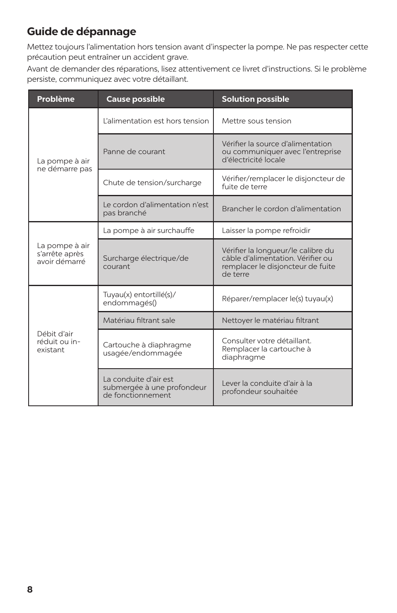## **Guide de dépannage**

Mettez toujours l'alimentation hors tension avant d'inspecter la pompe. Ne pas respecter cette précaution peut entraîner un accident grave.

Avant de demander des réparations, lisez attentivement ce livret d'instructions. Si le problème persiste, communiquez avec votre détaillant.

| Problème                                          | <b>Cause possible</b>                                                    | <b>Solution possible</b>                                                                                                 |  |  |  |
|---------------------------------------------------|--------------------------------------------------------------------------|--------------------------------------------------------------------------------------------------------------------------|--|--|--|
|                                                   | L'alimentation est hors tension                                          | Mettre sous tension                                                                                                      |  |  |  |
| La pompe à air<br>ne démarre pas                  | Panne de courant                                                         | Vérifier la source d'alimentation<br>ou communiquer avec l'entreprise<br>d'électricité locale                            |  |  |  |
|                                                   | Chute de tension/surcharge                                               | Vérifier/remplacer le disjoncteur de<br>fuite de terre                                                                   |  |  |  |
|                                                   | Le cordon d'alimentation n'est<br>pas branché                            | Brancher le cordon d'alimentation                                                                                        |  |  |  |
|                                                   | La pompe à air surchauffe                                                | Laisser la pompe refroidir                                                                                               |  |  |  |
| La pompe à air<br>s'arrête après<br>avoir démarré | Surcharge électrique/de<br>courant                                       | Vérifier la longueur/le calibre du<br>câble d'alimentation. Vérifier ou<br>remplacer le disjoncteur de fuite<br>de terre |  |  |  |
|                                                   | Tuyau(x) entortillé(s)/<br>endommagés()                                  | Réparer/remplacer le(s) tuyau(x)                                                                                         |  |  |  |
|                                                   | Matériau filtrant sale                                                   | Nettoyer le matériau filtrant                                                                                            |  |  |  |
| Débit d'air<br>réduit ou in-<br>existant          | Cartouche à diaphragme<br>usagée/endommagée                              | Consulter votre détaillant.<br>Remplacer la cartouche à<br>diaphragme                                                    |  |  |  |
|                                                   | La conduite d'air est<br>submergée à une profondeur<br>de fonctionnement | Lever la conduite d'air à la<br>profondeur souhaitée                                                                     |  |  |  |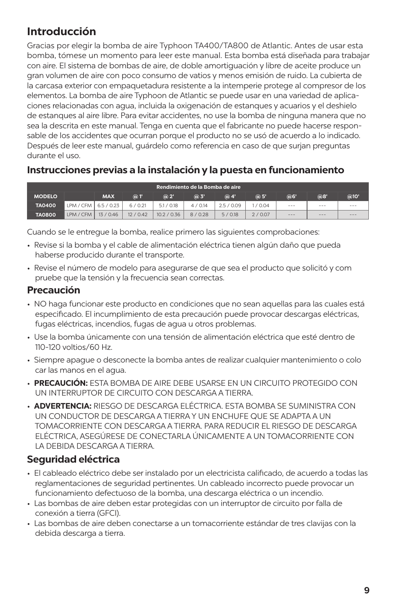## **Introducción**

Gracias por elegir la bomba de aire Typhoon TA400/TA800 de Atlantic. Antes de usar esta bomba, tómese un momento para leer este manual. Esta bomba está diseñada para trabajar con aire. El sistema de bombas de aire, de doble amortiguación y libre de aceite produce un gran volumen de aire con poco consumo de vatios y menos emisión de ruido. La cubierta de la carcasa exterior con empaquetadura resistente a la intemperie protege al compresor de los elementos. La bomba de aire Typhoon de Atlantic se puede usar en una variedad de aplicaciones relacionadas con agua, incluida la oxigenación de estanques y acuarios y el deshielo de estanques al aire libre. Para evitar accidentes, no use la bomba de ninguna manera que no sea la descrita en este manual. Tenga en cuenta que el fabricante no puede hacerse responsable de los accidentes que ocurran porque el producto no se usó de acuerdo a lo indicado. Después de leer este manual, guárdelo como referencia en caso de que surjan preguntas durante el uso.

#### **Instrucciones previas a la instalación y la puesta en funcionamiento**

| l Rendimiento de la Bomba de aire |                        |            |            |             |             |          |             |          |          |      |
|-----------------------------------|------------------------|------------|------------|-------------|-------------|----------|-------------|----------|----------|------|
| <b>MODELO</b>                     |                        | <b>MAX</b> | $\omega$ 1 | @2'         | $\omega$ 3' | @4'      | $\omega$ 5' | @6'      | @8'      | @10' |
| <b>TA0400</b>                     | LPM / CFM   6.5 / 0.23 |            | 6/0.21     | 5.1 / 0.18  | 4/0.14      | 2.5/0.09 | 1/0.04      | $\cdots$ | $\cdots$ | ---  |
| <b>TA0800</b>                     | LPM / CFM   13 / 0.46  |            | 12/0.42    | 10.2 / 0.36 | 8/0.28      | 5/0.18   | 2/0.07      | $\cdots$ | $- - -$  | ---  |

Cuando se le entregue la bomba, realice primero las siguientes comprobaciones:

- Revise si la bomba y el cable de alimentación eléctrica tienen algún daño que pueda haberse producido durante el transporte.
- Revise el número de modelo para asegurarse de que sea el producto que solicitó y com pruebe que la tensión y la frecuencia sean correctas.

#### **Precaución**

- NO haga funcionar este producto en condiciones que no sean aquellas para las cuales está especificado. El incumplimiento de esta precaución puede provocar descargas eléctricas, fugas eléctricas, incendios, fugas de agua u otros problemas.
- Use la bomba únicamente con una tensión de alimentación eléctrica que esté dentro de 110-120 voltios/60 Hz.
- Siempre apague o desconecte la bomba antes de realizar cualquier mantenimiento o colo car las manos en el agua.
- **PRECAUCIÓN:** ESTA BOMBA DE AIRE DEBE USARSE EN UN CIRCUITO PROTEGIDO CON UN INTERRUPTOR DE CIRCUITO CON DESCARGA A TIERRA.
- **ADVERTENCIA:** RIESGO DE DESCARGA ELÉCTRICA. ESTA BOMBA SE SUMINISTRA CON UN CONDUCTOR DE DESCARGA A TIERRA Y UN ENCHUFE QUE SE ADAPTA A UN TOMACORRIENTE CON DESCARGA A TIERRA. PARA REDUCIR EL RIESGO DE DESCARGA ELÉCTRICA, ASEGÚRESE DE CONECTARLA ÚNICAMENTE A UN TOMACORRIENTE CON LA DEBIDA DESCARGA A TIERRA.

#### **Seguridad eléctrica**

- El cableado eléctrico debe ser instalado por un electricista calificado, de acuerdo a todas las reglamentaciones de seguridad pertinentes. Un cableado incorrecto puede provocar un funcionamiento defectuoso de la bomba, una descarga eléctrica o un incendio.
- Las bombas de aire deben estar protegidas con un interruptor de circuito por falla de conexión a tierra (GFCI).
- Las bombas de aire deben conectarse a un tomacorriente estándar de tres clavijas con la debida descarga a tierra.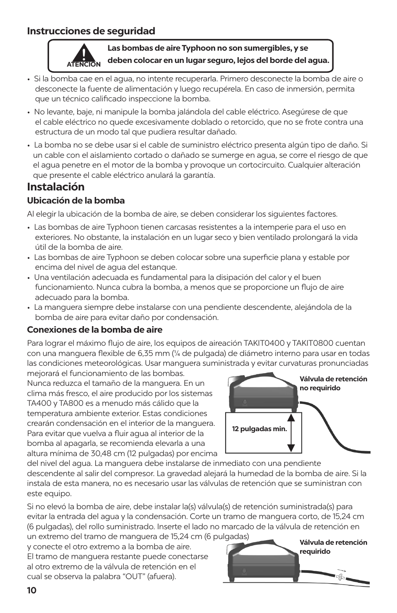#### **Instrucciones de seguridad**



#### **Las bombas de aire Typhoon no son sumergibles, y se deben colocar en un lugar seguro, lejos del borde del agua.**

- Si la bomba cae en el agua, no intente recuperarla. Primero desconecte la bomba de aire o desconecte la fuente de alimentación y luego recupérela. En caso de inmersión, permita que un técnico calificado inspeccione la bomba.
- No levante, baje, ni manipule la bomba jalándola del cable eléctrico. Asegúrese de que el cable eléctrico no quede excesivamente doblado o retorcido, que no se frote contra una estructura de un modo tal que pudiera resultar dañado.
- La bomba no se debe usar si el cable de suministro eléctrico presenta algún tipo de daño. Si un cable con el aislamiento cortado o dañado se sumerge en agua, se corre el riesgo de que el agua penetre en el motor de la bomba y provoque un cortocircuito. Cualquier alteración que presente el cable eléctrico anulará la garantía.

### **Instalación**

#### **Ubicación de la bomba**

Al elegir la ubicación de la bomba de aire, se deben considerar los siguientes factores.

- Las bombas de aire Typhoon tienen carcasas resistentes a la intemperie para el uso en exteriores. No obstante, la instalación en un lugar seco y bien ventilado prolongará la vida útil de la bomba de aire.
- Las bombas de aire Typhoon se deben colocar sobre una superficie plana y estable por encima del nivel de agua del estanque.
- Una ventilación adecuada es fundamental para la disipación del calor y el buen funcionamiento. Nunca cubra la bomba, a menos que se proporcione un flujo de aire adecuado para la bomba.
- La manguera siempre debe instalarse con una pendiente descendente, alejándola de la bomba de aire para evitar daño por condensación.

#### **Conexiones de la bomba de aire**

Para lograr el máximo flujo de aire, los equipos de aireación TAKIT0400 y TAKIT0800 cuentan con una manguera flexible de 6,35 mm (¼ de pulgada) de diámetro interno para usar en todas las condiciones meteorológicas. Usar manguera suministrada y evitar curvaturas pronunciadas

mejorará el funcionamiento de las bombas. Nunca reduzca el tamaño de la manguera. En un clima más fresco, el aire producido por los sistemas TA400 y TA800 es a menudo más cálido que la temperatura ambiente exterior. Estas condiciones crearán condensación en el interior de la manguera. Para evitar que vuelva a fluir agua al interior de la bomba al apagarla, se recomienda elevarla a una altura mínima de 30,48 cm (12 pulgadas) por encima



del nivel del agua. La manguera debe instalarse de inmediato con una pendiente descendente al salir del compresor. La gravedad alejará la humedad de la bomba de aire. Si la instala de esta manera, no es necesario usar las válvulas de retención que se suministran con este equipo.

Si no elevó la bomba de aire, debe instalar la(s) válvula(s) de retención suministrada(s) para evitar la entrada del agua y la condensación. Corte un tramo de manguera corto, de 15,24 cm (6 pulgadas), del rollo suministrado. Inserte el lado no marcado de la válvula de retención en un extremo del tramo de manguera de 15,24 cm (6 pulgadas)

y conecte el otro extremo a la bomba de aire. El tramo de manguera restante puede conectarse al otro extremo de la válvula de retención en el cual se observa la palabra "OUT" (afuera).

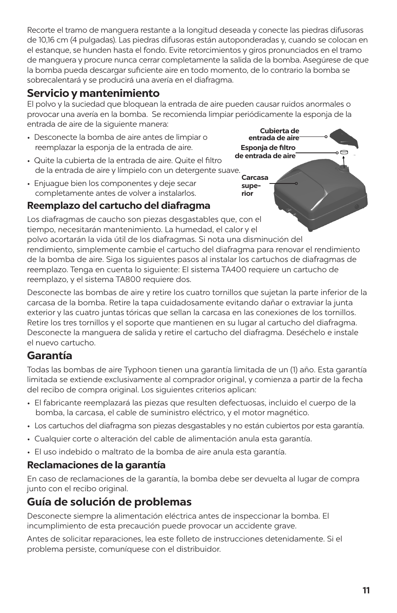Recorte el tramo de manguera restante a la longitud deseada y conecte las piedras difusoras de 10,16 cm (4 pulgadas). Las piedras difusoras están autoponderadas y, cuando se colocan en el estanque, se hunden hasta el fondo. Evite retorcimientos y giros pronunciados en el tramo de manguera y procure nunca cerrar completamente la salida de la bomba. Asegúrese de que la bomba pueda descargar suficiente aire en todo momento, de lo contrario la bomba se sobrecalentará y se producirá una avería en el diafragma.

### **Servicio y mantenimiento**

**Cubierta de**  El polvo y la suciedad que bloquean la entrada de aire pueden causar ruidos anormales o provocar una avería en la bomba. Se recomienda limpiar periódicamente la esponja de la entrada de aire de la siguiente manera:

- Desconecte la bomba de aire antes de limpiar o reemplazar la esponja de la entrada de aire.
- **de entrada de aire** • Quite la cubierta de la entrada de aire. Quite el filtro de la entrada de aire y límpielo con un detergente suave.
- Enjuague bien los componentes y deje secar completamente antes de volver a instalarlos.

#### **Reemplazo del cartucho del diafragma**

**Carcasa superior** Los diafragmas de caucho son piezas desgastables que, con el tiempo, necesitarán mantenimiento. La humedad, el calor y el

**entrada de aire**

**Esponja de filtro** 

polvo acortarán la vida útil de los diafragmas. Si nota una disminución del rendimiento, simplemente cambie el cartucho del diafragma para renovar el rendimiento de la bomba de aire. Siga los siguientes pasos al instalar los cartuchos de diafragmas de reemplazo. Tenga en cuenta lo siguiente: El sistema TA400 requiere un cartucho de reemplazo, y el sistema TA800 requiere dos.

Desconecte las bombas de aire y retire los cuatro tornillos que sujetan la parte inferior de la carcasa de la bomba. Retire la tapa cuidadosamente evitando dañar o extraviar la junta exterior y las cuatro juntas tóricas que sellan la carcasa en las conexiones de los tornillos. Retire los tres tornillos y el soporte que mantienen en su lugar al cartucho del diafragma. Desconecte la manguera de salida y retire el cartucho del diafragma. Deséchelo e instale el nuevo cartucho.

### **Garantía**

Todas las bombas de aire Typhoon tienen una garantía limitada de un (1) año. Esta garantía limitada se extiende exclusivamente al comprador original, y comienza a partir de la fecha del recibo de compra original. Los siguientes criterios aplican:

- El fabricante reemplazará las piezas que resulten defectuosas, incluido el cuerpo de la bomba, la carcasa, el cable de suministro eléctrico, y el motor magnético.
- Los cartuchos del diafragma son piezas desgastables y no están cubiertos por esta garantía.
- Cualquier corte o alteración del cable de alimentación anula esta garantía.
- El uso indebido o maltrato de la bomba de aire anula esta garantía.

#### **Reclamaciones de la garantía**

En caso de reclamaciones de la garantía, la bomba debe ser devuelta al lugar de compra junto con el recibo original.

### **Guía de solución de problemas**

Desconecte siempre la alimentación eléctrica antes de inspeccionar la bomba. El incumplimiento de esta precaución puede provocar un accidente grave.

Antes de solicitar reparaciones, lea este folleto de instrucciones detenidamente. Si el problema persiste, comuníquese con el distribuidor.